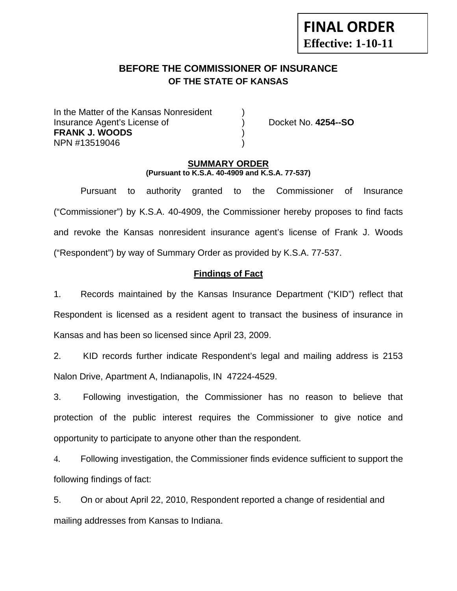# **FINAL ORDER Effective: 1-10-11**

# **BEFORE THE COMMISSIONER OF INSURANCE OF THE STATE OF KANSAS**

In the Matter of the Kansas Nonresident Insurance Agent's License of ) Docket No. **4254--SO FRANK J. WOODS** ) NPN #13519046 )

#### **SUMMARY ORDER (Pursuant to K.S.A. 40-4909 and K.S.A. 77-537)**

 Pursuant to authority granted to the Commissioner of Insurance ("Commissioner") by K.S.A. 40-4909, the Commissioner hereby proposes to find facts and revoke the Kansas nonresident insurance agent's license of Frank J. Woods ("Respondent") by way of Summary Order as provided by K.S.A. 77-537.

## **Findings of Fact**

1. Records maintained by the Kansas Insurance Department ("KID") reflect that Respondent is licensed as a resident agent to transact the business of insurance in Kansas and has been so licensed since April 23, 2009.

2. KID records further indicate Respondent's legal and mailing address is 2153 Nalon Drive, Apartment A, Indianapolis, IN 47224-4529.

3. Following investigation, the Commissioner has no reason to believe that protection of the public interest requires the Commissioner to give notice and opportunity to participate to anyone other than the respondent.

4. Following investigation, the Commissioner finds evidence sufficient to support the following findings of fact:

5. On or about April 22, 2010, Respondent reported a change of residential and mailing addresses from Kansas to Indiana.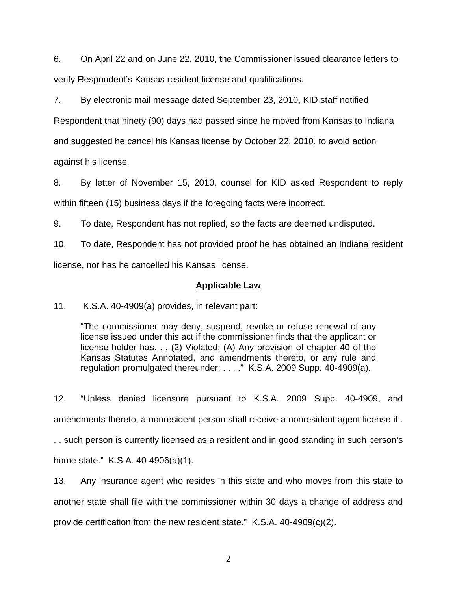6. On April 22 and on June 22, 2010, the Commissioner issued clearance letters to verify Respondent's Kansas resident license and qualifications.

7. By electronic mail message dated September 23, 2010, KID staff notified Respondent that ninety (90) days had passed since he moved from Kansas to Indiana and suggested he cancel his Kansas license by October 22, 2010, to avoid action against his license.

8. By letter of November 15, 2010, counsel for KID asked Respondent to reply within fifteen (15) business days if the foregoing facts were incorrect.

9. To date, Respondent has not replied, so the facts are deemed undisputed.

10. To date, Respondent has not provided proof he has obtained an Indiana resident license, nor has he cancelled his Kansas license.

### **Applicable Law**

11. K.S.A. 40-4909(a) provides, in relevant part:

"The commissioner may deny, suspend, revoke or refuse renewal of any license issued under this act if the commissioner finds that the applicant or license holder has. . . (2) Violated: (A) Any provision of chapter 40 of the Kansas Statutes Annotated, and amendments thereto, or any rule and regulation promulgated thereunder; . . . ." K.S.A. 2009 Supp. 40-4909(a).

12. "Unless denied licensure pursuant to K.S.A. 2009 Supp. 40-4909, and amendments thereto, a nonresident person shall receive a nonresident agent license if . . . such person is currently licensed as a resident and in good standing in such person's home state." K.S.A. 40-4906(a)(1).

13. Any insurance agent who resides in this state and who moves from this state to another state shall file with the commissioner within 30 days a change of address and provide certification from the new resident state." K.S.A. 40-4909(c)(2).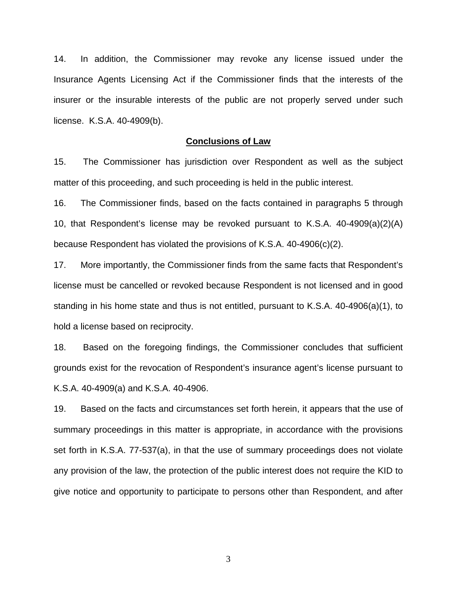14. In addition, the Commissioner may revoke any license issued under the Insurance Agents Licensing Act if the Commissioner finds that the interests of the insurer or the insurable interests of the public are not properly served under such license. K.S.A. 40-4909(b).

#### **Conclusions of Law**

15. The Commissioner has jurisdiction over Respondent as well as the subject matter of this proceeding, and such proceeding is held in the public interest.

16. The Commissioner finds, based on the facts contained in paragraphs 5 through 10, that Respondent's license may be revoked pursuant to K.S.A. 40-4909(a)(2)(A) because Respondent has violated the provisions of K.S.A. 40-4906(c)(2).

17. More importantly, the Commissioner finds from the same facts that Respondent's license must be cancelled or revoked because Respondent is not licensed and in good standing in his home state and thus is not entitled, pursuant to K.S.A. 40-4906(a)(1), to hold a license based on reciprocity.

18. Based on the foregoing findings, the Commissioner concludes that sufficient grounds exist for the revocation of Respondent's insurance agent's license pursuant to K.S.A. 40-4909(a) and K.S.A. 40-4906.

19. Based on the facts and circumstances set forth herein, it appears that the use of summary proceedings in this matter is appropriate, in accordance with the provisions set forth in K.S.A. 77-537(a), in that the use of summary proceedings does not violate any provision of the law, the protection of the public interest does not require the KID to give notice and opportunity to participate to persons other than Respondent, and after

3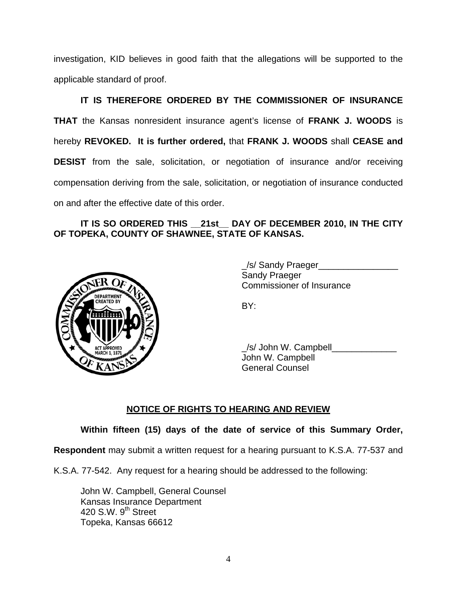investigation, KID believes in good faith that the allegations will be supported to the applicable standard of proof.

 **IT IS THEREFORE ORDERED BY THE COMMISSIONER OF INSURANCE THAT** the Kansas nonresident insurance agent's license of **FRANK J. WOODS** is hereby **REVOKED. It is further ordered,** that **FRANK J. WOODS** shall **CEASE and DESIST** from the sale, solicitation, or negotiation of insurance and/or receiving compensation deriving from the sale, solicitation, or negotiation of insurance conducted on and after the effective date of this order.

## **IT IS SO ORDERED THIS \_\_21st\_\_ DAY OF DECEMBER 2010, IN THE CITY OF TOPEKA, COUNTY OF SHAWNEE, STATE OF KANSAS.**



/s/ Sandy Praeger Sandy Praeger Commissioner of Insurance

/s/ John W. Campbell John W. Campbell General Counsel

## **NOTICE OF RIGHTS TO HEARING AND REVIEW**

**Within fifteen (15) days of the date of service of this Summary Order,** 

**Respondent** may submit a written request for a hearing pursuant to K.S.A. 77-537 and

K.S.A. 77-542. Any request for a hearing should be addressed to the following:

 John W. Campbell, General Counsel Kansas Insurance Department 420 S.W.  $9<sup>th</sup>$  Street Topeka, Kansas 66612